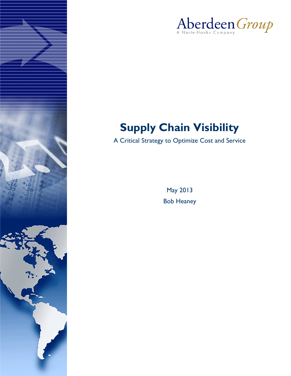



# **Supply Chain Visibility**

A Critical Strategy to Optimize Cost and Service

May 2013 Bob Heaney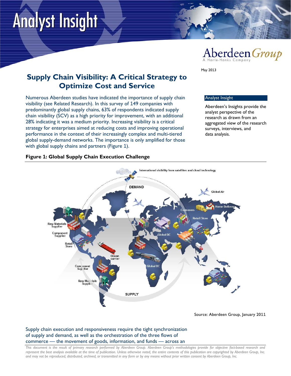# **Analyst Insight**



**Supply Chain Visibility: A Critical Strategy to Optimize Cost and Service**

Numerous Aberdeen studies have indicated the importance of supply chain visibility (see Related Research). In this survey of 149 companies with predominantly global supply chains, 63% of respondents indicated supply chain visibility (SCV) as a high priority for improvement, with an additional 28% indicating it was a medium priority. Increasing visibility is a critical strategy for enterprises aimed at reducing costs and improving operational performance in the context of their increasingly complex and multi-tiered global supply-demand networks. The importance is only amplified for those with global supply chains and partners (Figure 1).

#### Analyst Insight

May 2013

Aberdeen's Insights provide the analyst perspective of the research as drawn from an aggregated view of the research surveys, interviews, and data analysis.

#### **Figure 1: Global Supply Chain Execution Challenge**



Source: Aberdeen Group, January 2011

Supply chain execution and responsiveness require the tight synchronization of supply and demand, as well as the orchestration of the three flows of commerce — the movement of goods, information, and funds — across an

*This document is the result of primary research performed by Aberdeen Group. Aberdeen Group's methodologies provide for objective fact-based research and represent the best analysis available at the time of publication. Unless otherwise noted, the entire contents of this publication are copyrighted by Aberdeen Group, Inc. and may not be reproduced, distributed, archived, or transmitted in any form or by any means without prior written consent by Aberdeen Group, Inc.*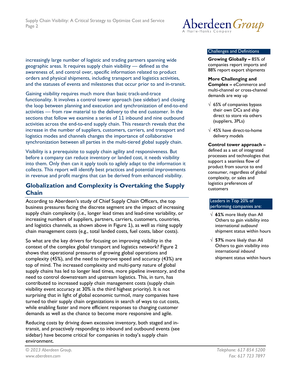increasingly large number of logistic and trading partners spanning wide geographic areas. It requires supply chain visibility — defined as the awareness of, and control over, specific information related to product orders and physical shipments, including transport and logistics activities, and the statuses of events and milestones that occur prior to and in-transit.

Gaining visibility requires much more than basic track-and-trace functionality. It involves a control tower approach (see sidebar) and closing the loop between planning and execution and synchronization of end-to-end activities — from raw material to the delivery to the end customer. In the sections that follow we examine a series of 11 inbound and nine outbound activities across the end-to-end supply chain. This research reveals that the increase in the number of suppliers, customers, carriers, and transport and logistics modes and channels changes the importance of collaborative synchronization between all parties in the multi-tiered global supply chain.

Visibility is a prerequisite to supply chain agility and responsiveness. But before a company can reduce inventory or landed cost, it needs visibility into them. Only then can it apply tools to agilely adapt to the information it collects. This report will identify best practices and potential improvements in revenue and profit margins that can be derived from enhanced visibility.

# **Globalization and Complexity is Overtaking the Supply Chain**

According to Aberdeen's study of Chief Supply Chain Officers, the top business pressures facing the discrete segment are the impact of increasing supply chain complexity (i.e., longer lead times and lead-time variability, or increasing numbers of suppliers, partners, carriers, customers, countries, and logistics channels, as shown above in Figure 1), as well as rising supply chain management costs (e.g., total landed costs, fuel costs, labor costs).

So what are the key drivers for focusing on improving visibility in the context of the complex global transport and logistics network? Figure 2 shows that operational pressures of growing global operations and complexity (45%), and the need to improve speed and accuracy (43%) are top of mind. The increased complexity and multi-party nature of global supply chains has led to longer lead times, more pipeline inventory, and the need to control downstream and upstream logistics. This, in turn, has contributed to increased supply chain management costs (supply chain visibility event accuracy at 30% is the third highest priority). It is not surprising that in light of global economic turmoil, many companies have turned to their supply chain organizations in search of ways to cut costs, while enabling faster and more efficient responses to changing customer demands as well as the chance to become more responsive and agile.

Reducing costs by driving down excessive inventory, both staged and intransit, and proactively responding to inbound and outbound events (see sidebar) have become critical for companies in today's supply chain environment.



#### Challenges and Definitions

**Growing Globally –** 85% of companies report imports and 88% report export shipments

**More Challenging and Complex –** eCommerce and multi-channel or cross-channel demands are way up

- $\sqrt{65\%}$  of companies bypass their own DCs and ship direct to store via others (suppliers, 3PLs)
- √ 45% have direct-to-home delivery models

**Control tower approach –**

defined as a set of integrated processes and technologies that support a seamless flow of product from source to end consumer, regardless of global complexity, or sales and logistics preferences of customers

#### Leaders in Top 20% of performing companies are:

- √ **61%** more likely than All Others to gain visibility into international *outbound* shipment status within hours
- √ **57%** more likely than All Others to gain visibility into international *inbound*

shipment status within hours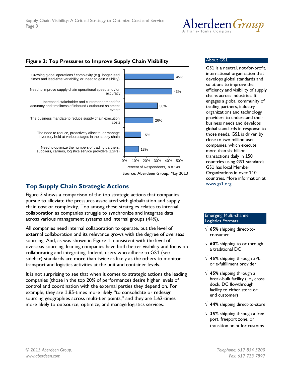

# **Figure 2: Top Pressures to Improve Supply Chain Visibility**



# **Top Supply Chain Strategic Actions**

Figure 3 shows a comparison of the top strategic actions that companies pursue to alleviate the pressures associated with globalization and supply chain cost or complexity*.* Top among these strategies relates to internal collaboration as companies struggle to synchronize and integrate data across various management systems and internal groups (44%).

All companies need internal collaboration to operate, but the level of external collaboration and its relevance grows with the degree of overseas sourcing. And, as was shown in Figure 1, consistent with the level of overseas sourcing, leading companies have both better visibility and focus on collaborating and integrating. Indeed, users who adhere to GS1 (see sidebar) standards are more than twice as likely as the others to monitor transport and logistics activities at the unit and container levels.

It is not surprising to see that when it comes to strategic actions the leading companies (those in the top 20% of performance) desire higher levels of control and coordination with the external parties they depend on. For example, they are 1.85-times more likely "to consolidate or redesign sourcing geographies across multi-tier points," and they are 1.62-times more likely to outsource, optimize, and manage logistics services.

#### About GS1

GS1 is a neutral, not-for-profit, international organization that develops global standards and solutions to improve the efficiency and visibility of supply chains across industries. It engages a global community of trading partners, industry organizations and technology providers to understand their business needs and develops global standards in response to those needs. GS1 is driven by close to two million user companies, which execute more than six billion transactions daily in 150 countries using GS1 standards. GS1 has local Member Organizations in over 110 countries. More information at [www.gs](http://www.gs1.org/)1.org.

#### Emerging Multi-channel Logistics Formats

- √ **65%** shipping direct-toconsumer
- √ **60%** shipping to or through a traditional DC
- √ **45%** shipping through 3PL or e-fulfillment provider
- √ **45%** shipping through a break-bulk facility (i.e., cross dock, DC flowthrough facility to either store or end customer)
- √ **44%** shipping direct-to-store
- √ **35%** shipping through a free port, freeport zone, or transition point for customs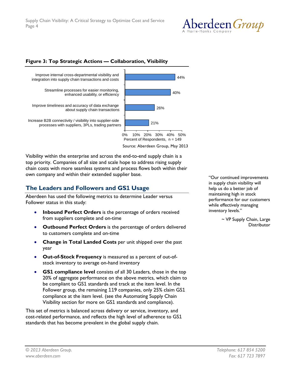

#### **Figure 3: Top Strategic Actions — Collaboration, Visibility**



Source: Aberdeen Group, May 2013

Visibility within the enterprise and across the end-to-end supply chain is a top priority. Companies of all size and scale hope to address rising supply chain costs with more seamless systems and process flows both within their own company and within their extended supplier base.

# **The Leaders and Followers and GS1 Usage**

Aberdeen has used the following metrics to determine Leader versus Follower status in this study:

- **Inbound Perfect Orders** is the percentage of orders received from suppliers complete and on-time
- **Outbound Perfect Orders** is the percentage of orders delivered to customers complete and on-time
- **Change in Total Landed Costs** per unit shipped over the past year
- **Out-of-Stock Frequency** is measured as a percent of out-ofstock inventory to average on-hand inventory
- **GS1 compliance level** consists of all 30 Leaders, those in the top 20% of aggregate performance on the above metrics, which claim to be compliant to GS1 standards and track at the item level. In the Follower group, the remaining 119 companies, only 25% claim GS1 compliance at the item level. (see the Automating Supply Chain Visibility section for more on GS1 standards and compliance).

This set of metrics is balanced across delivery or service, inventory, and cost-related performance, and reflects the high level of adherence to GS1 standards that has become prevalent in the global supply chain.

"Our continued improvements in supply chain visibility will help us do a better job of maintaining high in stock performance for our customers while effectively managing inventory levels."

> ~ VP Supply Chain, Large **Distributor**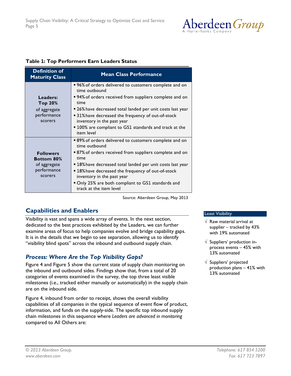

### **Table 1: Top Performers Earn Leaders Status**

| <b>Definition of</b><br><b>Maturity Class</b>                                   | <b>Mean Class Performance</b>                                                                                                                                                                                                                                                                                                                                               |
|---------------------------------------------------------------------------------|-----------------------------------------------------------------------------------------------------------------------------------------------------------------------------------------------------------------------------------------------------------------------------------------------------------------------------------------------------------------------------|
| Leaders:<br>Top 20%<br>of aggregate<br>performance<br>scorers                   | ■ 96% of orders delivered to customers complete and on<br>time outbound<br>• 94% of orders received from suppliers complete and on<br>time<br>• 26% have decreased total landed per unit costs last year<br>■ 31% have decreased the frequency of out-of-stock<br>inventory in the past year<br>■ 100% are compliant to GS1 standards and track at the<br>item level        |
| <b>Followers</b><br><b>Bottom 80%</b><br>of aggregate<br>performance<br>scorers | ■ 89% of orders delivered to customers complete and on<br>time outbound<br>■ 87% of orders received from suppliers complete and on<br>time<br>■ 18% have decreased total landed per unit costs last year<br>■ 18% have decreased the frequency of out-of-stock<br>inventory in the past year<br>Only 25% are both compliant to GS1 standards and<br>track at the item level |

Source: Aberdeen Group, May 2013

# **Capabilities and Enablers**

Visibility is vast and spans a wide array of events. In the next section, dedicated to the best practices exhibited by the Leaders, we can further examine areas of focus to help companies evolve and bridge capability gaps. It is in the details that we begin to see separation, allowing us to identify "visibility blind spots" across the inbound and outbound supply chain.

# *Process: Where Are the Top Visibility Gaps?*

Figure 4 and Figure 5 show the current state of supply chain monitoring on the inbound and outbound sides. Findings show that, from a total of 20 categories of events examined in the survey, the top three least visible milestones (i.e., tracked either manually or automatically) in the supply chain are on the inbound side.

Figure 4, inbound from order to receipt, shows the overall visibility capabilities of all companies in the typical sequence of event flow of product, information, and funds on the supply-side. The specific top inbound supply chain milestones in this sequence where *Leaders are advanced in monitoring* compared to All Others are:

#### Least Visibility

- $\sqrt{ }$  Raw material arrival at supplier – tracked by 43% with 19% automated
- $\sqrt{ }$  Suppliers' production inprocess events – 45% with 13% automated
- $\sqrt{\ }$  Suppliers' projected production plans – 41% with 13% automated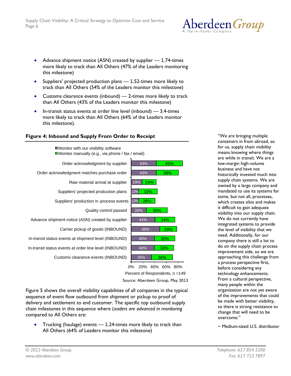- Advance shipment notice (ASN) created by supplier 1.74-times more likely to track than All Others (47% of the Leaders monitoring this milestone)
- Suppliers' projected production plans 1.52-times more likely to track than All Others (54% of the Leaders monitor this milestone)
- Customs clearance events (inbound) 2-times more likely to track than All Others (43% of the Leaders monitor this milestone)
- In-transit status events at order line level (inbound) 3.4-times more likely to track than All Others (64% of the Leaders monitor this milestone).



# **Figure 4: Inbound and Supply From Order to Receipt**

Source: Aberdeen Group, May 2013 0% 20% 40% 60% 80% Percent of Respondents, n =149

Figure 5 shows the overall visibility capabilities of all companies in the typical sequence of event flow outbound from shipment or pickup to proof of delivery and settlement to end customer. The specific top outbound supply chain milestones in this sequence where *Leaders are advanced in monitoring* compared to All Others are:

• Trucking (haulage) events — 1.24-times more likely to track than All Others (64% of Leaders monitor this milestone)

"We are bringing multiple containers in from abroad, so for us, supply chain visibility means knowing where things are while in transit. We are a low-margin high-volume business and have not historically invested much into supply chain systems. We are owned by a large company and mandated to use its systems for some, but not all, processes, which creates silos and makes it difficult to gain adequate visibility into our supply chain. We do not currently have integrated systems to provide the level of visibility that we need. Additionally, for our company there is still a lot to do on the supply chain process improvement side, so we are approaching this challenge from a process perspective first, before considering any technology enhancements. From a cultural perspective, many people within the organization are not yet aware of the improvements that could be made with better visibility, so there is strong resistance to change that will need to be overcome."

~ Medium-sized U.S. distributor

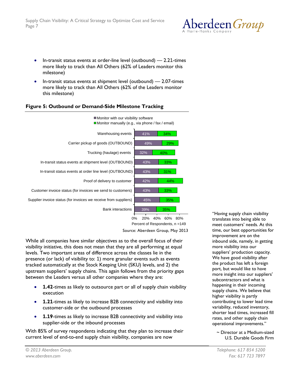

- In-transit status events at order-line level (outbound) 2.21-times more likely to track than All Others (62% of Leaders monitor this milestone)
- In-transit status events at shipment level (outbound) 2.07-times more likely to track than All Others (62% of the Leaders monitor this milestone)

### **Figure 5: Outbound or Demand-Side Milestone Tracking**



Percent of Respondents, n =149

Source: Aberdeen Group, May 2013

While all companies have similar objectives as to the overall focus of their visibility initiative, this does not mean that they are all performing at equal levels. Two important areas of difference across the classes lie in the presence (or lack) of visibility to: 1) more granular events such as events tracked automatically at the Stock Keeping Unit (SKU) levels, and 2) the upstream suppliers' supply chains. This again follows from the priority gaps between the Leaders versus all other companies where they are:

- **1.42**-times as likely to outsource part or all of supply chain visibility execution
- **1.21**-times as likely to increase B2B connectivity and visibility into customer-side or the outbound processes
- **1.19**-times as likely to increase B2B connectivity and visibility into supplier-side or the inbound processes

With 85% of survey respondents indicating that they plan to increase their current level of end-to-end supply chain visibility, companies are now

"Having supply chain visibility translates into being able to meet customers' needs. At this time, our best opportunities for improvement are on the inbound side, namely, in getting more visibility into our suppliers' production capacity. We have good visibility after the product has left a foreign port, but would like to have more insight into our suppliers' subcontractors and what is happening in their incoming supply chains. We believe that higher visibility is partly contributing to lower lead time variability, reduced inventory, shorter lead times, increased fill rates, and other supply chain operational improvements."

#### ~ Director at a Medium-sized U.S. Durable Goods Firm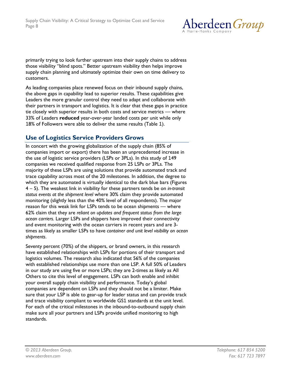

primarily trying to look further upstream into their supply chains to address those visibility "blind spots." Better upstream visibility then helps improve supply chain planning and ultimately optimize their own on time delivery to customers.

As leading companies place renewed focus on their inbound supply chains, the above gaps in capability lead to superior results. These capabilities give Leaders the more granular control they need to adapt and collaborate with their partners in transport and logistics. It is clear that these gaps in practice tie closely with superior results in both costs and service metrics — where 33% of Leaders **reduced** year-over-year landed costs per unit while only 18% of Followers were able to deliver the same results (Table 1).

# **Use of Logistics Service Providers Grows**

In concert with the growing globalization of the supply chain (85% of companies import or export) there has been an unprecedented increase in the use of logistic service providers (LSPs or 3PLs). In this study of 149 companies we received qualified response from 25 LSPs or 3PLs. The majority of these LSPs are using solutions that provide automated track and trace capability across most of the 20 milestones. In addition, the degree to which they are automated is virtually identical to the dark blue bars (Figures 4 – 5). The weakest link in visibility for these partners tends be on *in-transit status events at the shipment level* where 30% claim they provide automated monitoring (slightly less than the 40% level of all respondents). The major reason for this weak link for LSPs tends to be ocean shipments — where 62% claim that they are *reliant on updates and frequent status from the large ocean carriers.* Larger LSPs and shippers have improved their connectivity and event monitoring with the ocean carriers in recent years and are 3 times as likely as smaller LSPs to have *container and unit level visibility on ocean shipments*.

Seventy percent (70%) of the shippers, or brand owners, in this research have established relationships with LSPs for portions of their transport and logistics volumes. The research also indicated that 56% of the companies with established relationships use more than one LSP. A full 50% of Leaders in our study are using five or more LSPs; they are 2-times as likely as All Others to cite this level of engagement. LSPs can both enable and inhibit your overall supply chain visibility and performance. Today's global companies are dependent on LSPs and they should not be a limiter. Make sure that your LSP is able to gear-up for leader status and can provide track and trace visibility compliant to worldwide GS1 standards at the unit level. For each of the critical milestones in the inbound-to-outbound supply chain make sure all your partners and LSPs provide unified monitoring to high standards.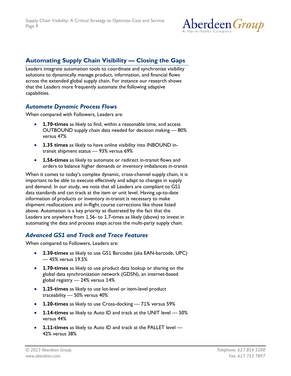

# **Automating Supply Chain Visibility — Closing the Gaps**

Leaders integrate automation tools to coordinate and synchronize visibility solutions to dynamically manage product, information, and financial flows across the extended global supply chain. For instance our research shows that the Leaders more frequently automate the following adaptive capabilities.

# *Automate Dynamic Process Flows*

When compared with Followers, Leaders are:

- **1.70-times** as likely to find, within a reasonable time, and access OUTBOUND supply chain data needed for decision making — 80% versus 47%
- **1.35 times** as likely to have online visibility into INBOUND intransit shipment status — 93% versus 69%
- **1.56-times** as likely to automate or redirect in-transit flows and orders to balance higher demands or inventory imbalances in-transit

When it comes to today's complex dynamic, cross-channel supply chain, it is important to be able to execute effectively and adapt to changes in supply and demand. In our study, we note that all Leaders are compliant to GS1 data standards and can track at the item or unit level. Having up-to-date information of products or inventory in-transit is necessary to make shipment reallocations and in-flight course corrections like those listed above. Automation is a key priority as illustrated by the fact that the Leaders are anywhere from 1.56- to 1.7-times as likely (above) to invest in automating the data and process steps across the multi-party supply chain.

# *Advanced GS1 and Track and Trace Features*

When compared to Followers, Leaders are:

- **2.30-times** as likely to use GS1 Barcodes (aka EAN-barcode, UPC) — 45% versus 19.5%
- **1.70-times** as likely to use product data lookup or sharing on the global data synchronization network (GDSN), an internet-based global registry — 24% versus 14%
- **1.25-times** as likely to use lot-level or item-level product traceability — 50% versus 40%
- **1.20-times** as likely to use Cross-docking 71% versus 59%
- **1.14-times** as likely to Auto ID and track at the UNIT level 50% versus 44%
- **1.11-times** as likely to Auto ID and track at the PALLET level 42% versus 38%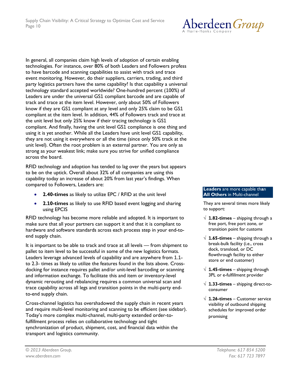

In general, all companies claim high levels of adoption of certain enabling technologies. For instance, over 80% of both Leaders and Followers profess to have barcode and scanning capabilities to assist with track and trace event monitoring. However, do their suppliers, carriers, trading, and third party logistics partners have the same capability? Is that capability a universal technology standard accepted worldwide? One-hundred percent (100%) of Leaders are under the universal GS1 compliant barcode and are capable of track and trace at the item level. However, only about 50% of Followers know if they are GS1 compliant at any level and only 25% claim to be GS1 compliant at the item level. In addition, 44% of Followers track and trace at the unit level but only 25% know if their tracing technology is GS1 compliant. And finally, having the unit level GS1 compliance is one thing and using it is yet another. While all the Leaders have unit level GS1 capability, they are not using it everywhere or all the time (since only 50% track at the unit level). Often the root problem is an external partner. You are only as strong as your weakest link; make sure you strive for unified compliance across the board.

RFID technology and adoption has tended to lag over the years but appears to be on the uptick. Overall about 32% of all companies are using this capability today an increase of about 20% from last year's findings. When compared to Followers, Leaders are:

- **2.40-times** as likely to utilize EPC / RFID at the unit level
- **2.10-times** as likely to use RFID based event logging and sharing using EPCIS

RFID technology has become more reliable and adopted. It is important to make sure that all your partners can support it and that it is compliant to hardware and software standards across each process step in your end-toend supply chain.

It is important to be able to track and trace at all levels — from shipment to pallet to item level to be successful in some of the new logistics formats. Leaders leverage advanced levels of capability and are anywhere from 1.1 to 2.3- times as likely to utilize the features found in the lists above. Crossdocking for instance requires pallet and/or unit-level barcoding or scanning and information exchange. To facilitate this and item or inventory-level dynamic rerouting and rebalancing requires a common universal scan and trace capability across all legs and transition points in the multi-party endto-end supply chain.

Cross-channel logistics has overshadowed the supply chain in recent years and require multi-level monitoring and scanning to be efficient (see sidebar). Today's more complex multi-channel, multi-party extended order-tofulfillment process relies on collaborative technology and tight synchronization of product, shipment, cost, and financial data within the transport and logistics community.

#### **Leaders** are more capable th**a**n **All Others** in Multi-channel

They are several times more likely to support:

- √ **1.82-times** shipping through a free port, free port zone, or transition point for customs
- √ **1.65-times** shipping through a break-bulk facility (i.e., cross dock, transload, or DC flowthrough facility to either store or end customer)
- √ **1.45-times** shipping through 3PL or e-fulfillment provider
- √ **1.33-times** shipping direct-toconsumer
- √ **1.26-times** Customer service visibility of outbound shipping schedules for improved order promising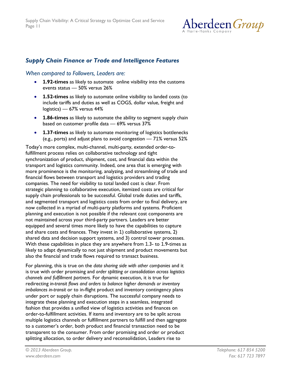

# *Supply Chain Finance or Trade and Intelligence Features*

# *When compared to Followers, Leaders are:*

- **1.92-times** as likely to automate online visibility into the customs events status — 50% versus 26%
- **1.52-times** as likely to automate online visibility to landed costs (to include tariffs and duties as well as COGS, dollar value, freight and logistics) — 67% versus 44%
- **1.86-times** as likely to automate the ability to segment supply chain based on customer profile data — 69% versus 37%
- **1.37-times** as likely to automate monitoring of logistics bottlenecks (e.g., ports) and adjust plans to avoid congestion — 71% versus 52%

Today's more complex, multi-channel, multi-party, extended order-tofulfillment process relies on collaborative technology and tight synchronization of product, shipment, cost, and financial data within the transport and logistics community. Indeed, one area that is emerging with more prominence is the monitoring, analyzing, and streamlining of trade and financial flows between transport and logistics providers and trading companies. The need for visibility to total landed cost is clear. From strategic planning to collaborative execution, itemized costs are critical for supply chain professionals to be successful. Global trade duties and tariffs, and segmented transport and logistics costs from order to final delivery, are now collected in a myriad of multi-party platforms and systems. Proficient planning and execution is not possible if the relevant cost components are not maintained across your third-party partners. Leaders are better equipped and several times more likely to have the capabilities to capture and share costs and finances. They invest in 1) collaborative systems, 2) shared data and decision support systems, and 3) control tower processes. With these capabilities in place they are anywhere from 1.3- to 1.9-times as likely to adapt dynamically to not just shipment and product movements but also the financial and trade flows required to transact business.

For planning, this is true on the *data sharing side with other companies* and it is true with order promising and *order splitting or consolidation across logistics channels and fulfillment partners*. For dynamic execution, it is true for redirecting *in-transit flows and orders to balance higher demands or inventory imbalances in-transit* or to in-flight product and inventory contingency plans under port or supply chain disruptions. The successful company needs to integrate these planning and execution steps in a seamless, integrated fashion that provides a unified view of logistics activities and finances on order-to-fulfillment activities. If items and inventory are to be split across multiple logistics channels or fulfillment partners to fulfill and then aggregate to a customer's order, both product and financial transaction need to be transparent to the consumer. From order promising and order or product splitting allocation, to order delivery and reconsolidation, Leaders rise to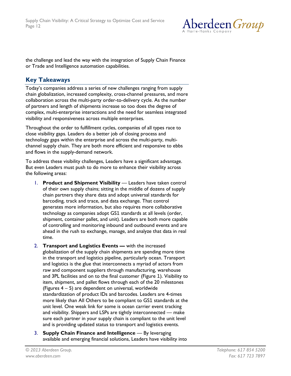

the challenge and lead the way with the integration of Supply Chain Finance or Trade and Intelligence automation capabilities.

# **Key Takeaways**

Today's companies address a series of new challenges ranging from supply chain globalization, increased complexity, cross-channel pressures, and more collaboration across the multi-party order-to-delivery cycle. As the number of partners and length of shipments increase so too does the degree of complex, multi-enterprise interactions and the need for seamless integrated visibility and responsiveness across multiple enterprises.

Throughout the order to fulfillment cycles, companies of all types race to close visibility gaps. Leaders do a better job of closing process and technology gaps within the enterprise and across the multi-party, multichannel supply chain. They are both more efficient and responsive to ebbs and flows in the supply-demand network.

To address these visibility challenges, Leaders have a significant advantage. But even Leaders must push to do more to enhance their visibility across the following areas:

- 1. **Product and Shipment Visibility** Leaders have taken control of their own supply chains; sitting in the middle of dozens of supply chain partners they share data and adopt universal standards for barcoding, track and trace, and data exchange. That control generates more information, but also requires more collaborative technology as companies adopt GS1 standards at all levels (order, shipment, container pallet, and unit). Leaders are both more capable of controlling and monitoring inbound and outbound events and are ahead in the rush to exchange, manage, and analyze that data in real time.
- 2. **Transport and Logistics Events —** with the increased globalization of the supply chain shipments are spending more time in the transport and logistics pipeline, particularly ocean. Transport and logistics is the glue that interconnects a myriad of actors from raw and component suppliers through manufacturing, warehouse and 3PL facilities and on to the final customer (Figure 1). Visibility to item, shipment, and pallet flows through each of the 20 milestones (Figures 4 – 5) are dependent on universal, worldwide standardization of product IDs and barcodes. Leaders are 4-times more likely than All Others to be compliant to GS1 standards at the unit level. One weak link for some is ocean carrier event tracking and visibility. Shippers and LSPs are tightly interconnected — make sure each partner in your supply chain is compliant to the unit level and is providing updated status to transport and logistics events.
- 3. **Supply Chain Finance and Intelligence** By leveraging available and emerging financial solutions, Leaders have visibility into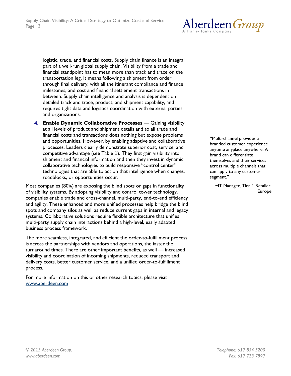

logistic, trade, and financial costs. Supply chain finance is an integral part of a well-run global supply chain. Visibility from a trade and financial standpoint has to mean more than track and trace on the transportation leg. It means following a shipment from order through final delivery, with all the itinerant compliance and finance milestones, and cost and financial settlement transactions in between. Supply chain intelligence and analysis is dependent on detailed track and trace, product, and shipment capability, and requires tight data and logistics coordination with external parties and organizations.

**4. Enable Dynamic Collaborative Processes** — Gaining visibility at all levels of product and shipment details and to all trade and financial costs and transactions does nothing but expose problems and opportunities. However, by enabling adaptive and collaborative processes, Leaders clearly demonstrate superior cost, service, and competitive advantage (see Table 1). They first gain visibility into shipment and financial information and then they invest in dynamic collaborative technologies to build responsive "control center" technologies that are able to act on that intelligence when changes, roadblocks, or opportunities occur.

Most companies (80%) are exposing the blind spots or gaps in functionality of visibility systems. By adopting visibility and control tower technology, companies enable trade and cross-channel, multi-party, end-to-end efficiency and agility. These enhanced and more unified processes help bridge the blind spots and company silos as well as reduce current gaps in internal and legacy systems. Collaborative solutions require flexible architecture that unifies multi-party supply chain interactions behind a high-level, easily adapted business process framework.

The more seamless, integrated, and efficient the order-to-fulfillment process is across the partnerships with vendors and operations, the faster the turnaround times. There are other important benefits, as well — increased visibility and coordination of incoming shipments, reduced transport and delivery costs, better customer service, and a unified order-to-fulfillment process.

For more information on this or other research topics, please visit [www.aberdeen.com](http://www.aberdeen.com/)

"Multi-channel provides a branded customer experience anytime anyplace anywhere. A brand can differentiate themselves and their services across multiple channels that can apply to any customer segment."

> ~IT Manager, Tier 1 Retailer, Europe